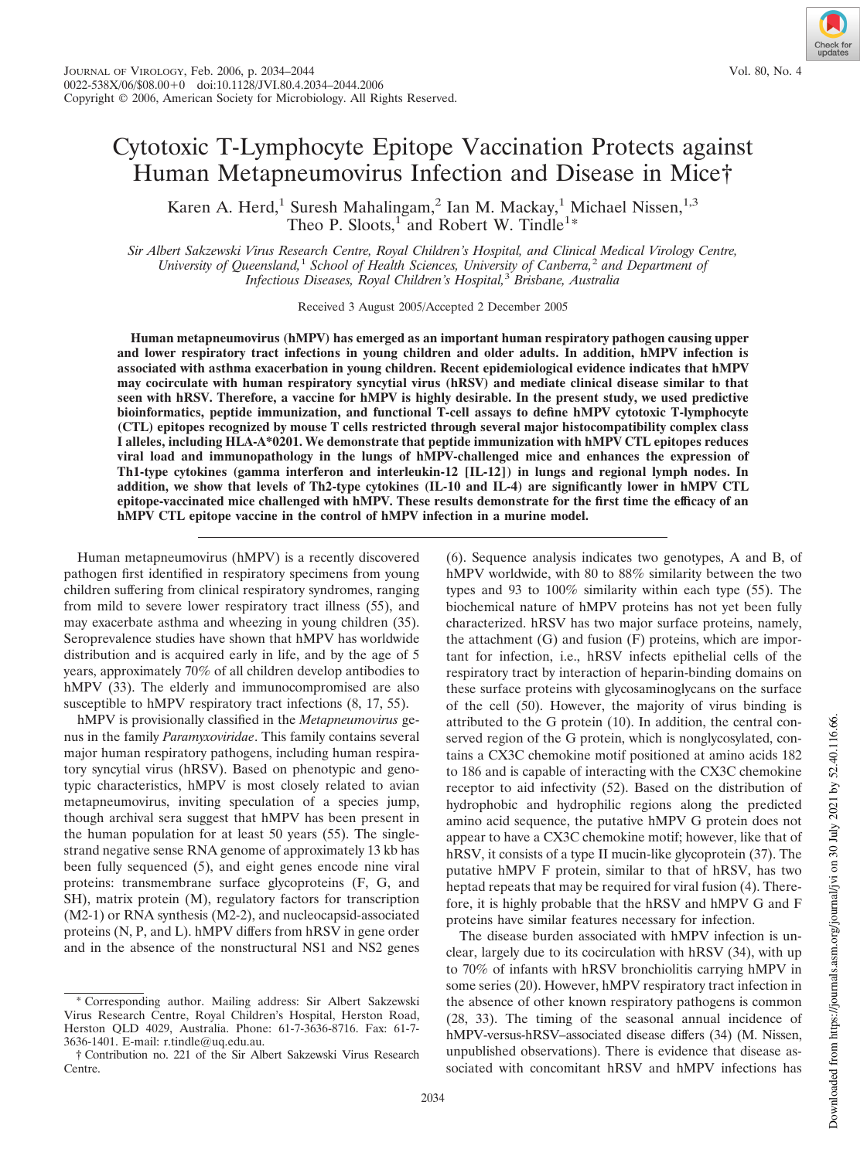# Cytotoxic T-Lymphocyte Epitope Vaccination Protects against Human Metapneumovirus Infection and Disease in Mice†

Karen A. Herd,<sup>1</sup> Suresh Mahalingam,<sup>2</sup> Ian M. Mackay,<sup>1</sup> Michael Nissen,<sup>1,3</sup> Theo P. Sloots,<sup>1</sup> and Robert W. Tindle<sup>1\*</sup>

*Sir Albert Sakzewski Virus Research Centre, Royal Children's Hospital, and Clinical Medical Virology Centre, University of Queensland,*<sup>1</sup> *School of Health Sciences, University of Canberra,*<sup>2</sup> *and Department of Infectious Diseases, Royal Children's Hospital,*<sup>3</sup> *Brisbane, Australia*

Received 3 August 2005/Accepted 2 December 2005

**Human metapneumovirus (hMPV) has emerged as an important human respiratory pathogen causing upper and lower respiratory tract infections in young children and older adults. In addition, hMPV infection is associated with asthma exacerbation in young children. Recent epidemiological evidence indicates that hMPV may cocirculate with human respiratory syncytial virus (hRSV) and mediate clinical disease similar to that seen with hRSV. Therefore, a vaccine for hMPV is highly desirable. In the present study, we used predictive bioinformatics, peptide immunization, and functional T-cell assays to define hMPV cytotoxic T-lymphocyte (CTL) epitopes recognized by mouse T cells restricted through several major histocompatibility complex class I alleles, including HLA-A\*0201. We demonstrate that peptide immunization with hMPV CTL epitopes reduces viral load and immunopathology in the lungs of hMPV-challenged mice and enhances the expression of Th1-type cytokines (gamma interferon and interleukin-12 [IL-12]) in lungs and regional lymph nodes. In addition, we show that levels of Th2-type cytokines (IL-10 and IL-4) are significantly lower in hMPV CTL epitope-vaccinated mice challenged with hMPV. These results demonstrate for the first time the efficacy of an hMPV CTL epitope vaccine in the control of hMPV infection in a murine model.**

Human metapneumovirus (hMPV) is a recently discovered pathogen first identified in respiratory specimens from young children suffering from clinical respiratory syndromes, ranging from mild to severe lower respiratory tract illness (55), and may exacerbate asthma and wheezing in young children (35). Seroprevalence studies have shown that hMPV has worldwide distribution and is acquired early in life, and by the age of 5 years, approximately 70% of all children develop antibodies to hMPV (33). The elderly and immunocompromised are also susceptible to hMPV respiratory tract infections  $(8, 17, 55)$ .

hMPV is provisionally classified in the *Metapneumovirus* genus in the family *Paramyxoviridae*. This family contains several major human respiratory pathogens, including human respiratory syncytial virus (hRSV). Based on phenotypic and genotypic characteristics, hMPV is most closely related to avian metapneumovirus, inviting speculation of a species jump, though archival sera suggest that hMPV has been present in the human population for at least 50 years (55). The singlestrand negative sense RNA genome of approximately 13 kb has been fully sequenced (5), and eight genes encode nine viral proteins: transmembrane surface glycoproteins (F, G, and SH), matrix protein (M), regulatory factors for transcription (M2-1) or RNA synthesis (M2-2), and nucleocapsid-associated proteins (N, P, and L). hMPV differs from hRSV in gene order and in the absence of the nonstructural NS1 and NS2 genes (6). Sequence analysis indicates two genotypes, A and B, of hMPV worldwide, with 80 to 88% similarity between the two types and 93 to 100% similarity within each type (55). The biochemical nature of hMPV proteins has not yet been fully characterized. hRSV has two major surface proteins, namely, the attachment (G) and fusion (F) proteins, which are important for infection, i.e., hRSV infects epithelial cells of the respiratory tract by interaction of heparin-binding domains on these surface proteins with glycosaminoglycans on the surface of the cell (50). However, the majority of virus binding is attributed to the G protein (10). In addition, the central conserved region of the G protein, which is nonglycosylated, contains a CX3C chemokine motif positioned at amino acids 182 to 186 and is capable of interacting with the CX3C chemokine receptor to aid infectivity (52). Based on the distribution of hydrophobic and hydrophilic regions along the predicted amino acid sequence, the putative hMPV G protein does not appear to have a CX3C chemokine motif; however, like that of hRSV, it consists of a type II mucin-like glycoprotein (37). The putative hMPV F protein, similar to that of hRSV, has two heptad repeats that may be required for viral fusion (4). Therefore, it is highly probable that the hRSV and hMPV G and F proteins have similar features necessary for infection.

The disease burden associated with hMPV infection is unclear, largely due to its cocirculation with hRSV (34), with up to 70% of infants with hRSV bronchiolitis carrying hMPV in some series (20). However, hMPV respiratory tract infection in the absence of other known respiratory pathogens is common (28, 33). The timing of the seasonal annual incidence of hMPV-versus-hRSV–associated disease differs (34) (M. Nissen, unpublished observations). There is evidence that disease associated with concomitant hRSV and hMPV infections has

<sup>\*</sup> Corresponding author. Mailing address: Sir Albert Sakzewski Virus Research Centre, Royal Children's Hospital, Herston Road, Herston QLD 4029, Australia. Phone: 61-7-3636-8716. Fax: 61-7- 3636-1401. E-mail: r.tindle@uq.edu.au.

<sup>†</sup> Contribution no. 221 of the Sir Albert Sakzewski Virus Research Centre.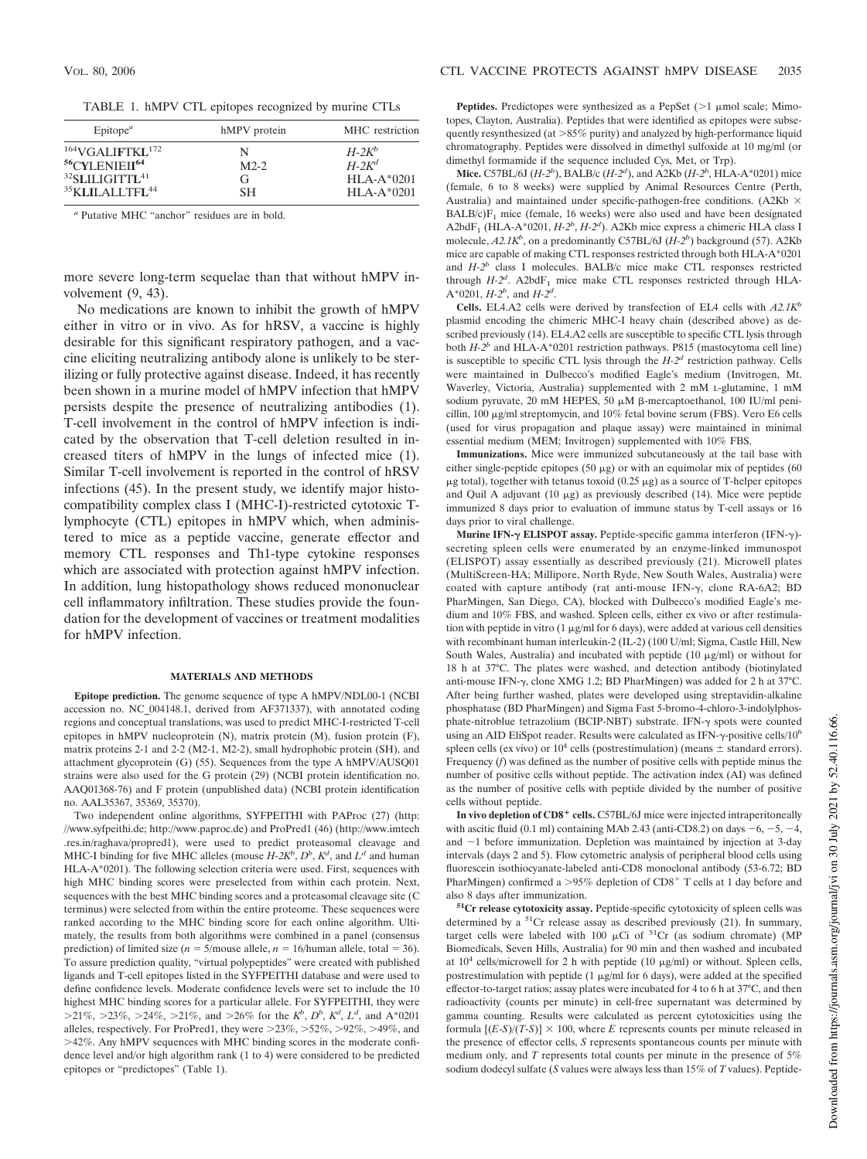TABLE 1. hMPV CTL epitopes recognized by murine CTLs

| $E$ pitope <sup><math>a</math></sup>   | hMPV protein | MHC restriction |
|----------------------------------------|--------------|-----------------|
| $164$ VGALIFTKL $172$                  | N            | $H-2K^b$        |
| <sup>56</sup> CYLENIEII <sup>64</sup>  | $M2-2$       | $H-2K^d$        |
| <sup>32</sup> SLILIGITTL <sup>41</sup> | G,           | $HLA-A*0201$    |
| <sup>35</sup> KLILALLTFL <sup>44</sup> | <b>SH</b>    | $HLA-A*0201$    |

*<sup>a</sup>* Putative MHC "anchor" residues are in bold.

more severe long-term sequelae than that without hMPV involvement (9, 43).

No medications are known to inhibit the growth of hMPV either in vitro or in vivo. As for hRSV, a vaccine is highly desirable for this significant respiratory pathogen, and a vaccine eliciting neutralizing antibody alone is unlikely to be sterilizing or fully protective against disease. Indeed, it has recently been shown in a murine model of hMPV infection that hMPV persists despite the presence of neutralizing antibodies (1). T-cell involvement in the control of hMPV infection is indicated by the observation that T-cell deletion resulted in increased titers of hMPV in the lungs of infected mice (1). Similar T-cell involvement is reported in the control of hRSV infections (45). In the present study, we identify major histocompatibility complex class I (MHC-I)-restricted cytotoxic Tlymphocyte (CTL) epitopes in hMPV which, when administered to mice as a peptide vaccine, generate effector and memory CTL responses and Th1-type cytokine responses which are associated with protection against hMPV infection. In addition, lung histopathology shows reduced mononuclear cell inflammatory infiltration. These studies provide the foundation for the development of vaccines or treatment modalities for hMPV infection.

#### **MATERIALS AND METHODS**

**Epitope prediction.** The genome sequence of type A hMPV/NDL00-1 (NCBI accession no. NC\_004148.1, derived from AF371337), with annotated coding regions and conceptual translations, was used to predict MHC-I-restricted T-cell epitopes in hMPV nucleoprotein (N), matrix protein (M), fusion protein (F), matrix proteins 2-1 and 2-2 (M2-1, M2-2), small hydrophobic protein (SH), and attachment glycoprotein (G) (55). Sequences from the type A hMPV/AUSQ01 strains were also used for the G protein (29) (NCBI protein identification no. AAQ01368-76) and F protein (unpublished data) (NCBI protein identification no. AAL35367, 35369, 35370).

Two independent online algorithms, SYFPEITHI with PAProc (27) (http: //www.syfpeithi.de; http://www.paproc.de) and ProPred1 (46) (http://www.imtech .res.in/raghava/propred1), were used to predict proteasomal cleavage and MHC-I binding for five MHC alleles (mouse  $H$ -2 $K^b$ ,  $D^b$ ,  $K^d$ , and  $L^d$  and human HLA-A\*0201). The following selection criteria were used. First, sequences with high MHC binding scores were preselected from within each protein. Next, sequences with the best MHC binding scores and a proteasomal cleavage site (C terminus) were selected from within the entire proteome. These sequences were ranked according to the MHC binding score for each online algorithm. Ultimately, the results from both algorithms were combined in a panel (consensus prediction) of limited size ( $n = 5$ /mouse allele,  $n = 16$ /human allele, total = 36). To assure prediction quality, "virtual polypeptides" were created with published ligands and T-cell epitopes listed in the SYFPEITHI database and were used to define confidence levels. Moderate confidence levels were set to include the 10 highest MHC binding scores for a particular allele. For SYFPEITHI, they were  $>21\%$ ,  $>23\%$ ,  $>24\%$ ,  $>21\%$ , and  $>26\%$  for the  $K^b$ ,  $D^b$ ,  $K^d$ ,  $L^d$ , and  $A^*0201$ alleles, respectively. For ProPred1, they were  $>23\%, >52\%, >92\%, >49\%,$  and 42%. Any hMPV sequences with MHC binding scores in the moderate confidence level and/or high algorithm rank (1 to 4) were considered to be predicted epitopes or "predictopes" (Table 1).

**Peptides.** Predictopes were synthesized as a PepSet  $(>1 \mu \text{mol scale}; \text{Mimo-}$ topes, Clayton, Australia). Peptides that were identified as epitopes were subsequently resynthesized (at  $>85\%$  purity) and analyzed by high-performance liquid chromatography. Peptides were dissolved in dimethyl sulfoxide at 10 mg/ml (or dimethyl formamide if the sequence included Cys, Met, or Trp).

**Mice.** C57BL/6J (*H-2<sup>b</sup>* ), BALB/c (*H-2<sup>d</sup>* ), and A2Kb (*H-2<sup>b</sup>* , HLA-A\*0201) mice (female, 6 to 8 weeks) were supplied by Animal Resources Centre (Perth, Australia) and maintained under specific-pathogen-free conditions. (A2Kb  $\times$  $BALB/c)F<sub>1</sub> mice (female, 16 weeks) were also used and have been designated$ A2bdF<sub>1</sub> (HLA-A\*0201, *H-2<sup>b</sup>*, *H-2<sup>d</sup>*). A2Kb mice express a chimeric HLA class I molecule, *A2.1K<sup>b</sup>* , on a predominantly C57BL/6J (*H-2<sup>b</sup>* ) background (57). A2Kb mice are capable of making CTL responses restricted through both HLA-A\*0201 and  $H-2^b$  class I molecules. BALB/c mice make CTL responses restricted through  $H-2<sup>d</sup>$ . A2bdF<sub>1</sub> mice make CTL responses restricted through HLA-A\*0201, *H-2<sup>b</sup>* , and *H-2<sup>d</sup>* .

**Cells.** EL4.A2 cells were derived by transfection of EL4 cells with *A2.1K<sup>b</sup>* plasmid encoding the chimeric MHC-I heavy chain (described above) as described previously (14). EL4.A2 cells are susceptible to specific CTL lysis through both *H-2<sup>b</sup>* and HLA-A\*0201 restriction pathways. P815 (mastocytoma cell line) is susceptible to specific CTL lysis through the *H-2<sup>d</sup>* restriction pathway. Cells were maintained in Dulbecco's modified Eagle's medium (Invitrogen, Mt. Waverley, Victoria, Australia) supplemented with 2 mM L-glutamine, 1 mM sodium pyruvate, 20 mM HEPES, 50 μM β-mercaptoethanol, 100 IU/ml penicillin, 100 µg/ml streptomycin, and 10% fetal bovine serum (FBS). Vero E6 cells (used for virus propagation and plaque assay) were maintained in minimal essential medium (MEM; Invitrogen) supplemented with 10% FBS.

**Immunizations.** Mice were immunized subcutaneously at the tail base with either single-peptide epitopes (50  $\mu$ g) or with an equimolar mix of peptides (60  $\mu$ g total), together with tetanus toxoid (0.25  $\mu$ g) as a source of T-helper epitopes and Quil A adjuvant (10  $\mu$ g) as previously described (14). Mice were peptide immunized 8 days prior to evaluation of immune status by T-cell assays or 16 days prior to viral challenge.

**Murine IFN-γ ELISPOT assay.** Peptide-specific gamma interferon (IFN-γ)secreting spleen cells were enumerated by an enzyme-linked immunospot (ELISPOT) assay essentially as described previously (21). Microwell plates (MultiScreen-HA; Millipore, North Ryde, New South Wales, Australia) were coated with capture antibody (rat anti-mouse IFN- $\gamma$ , clone RA-6A2; BD PharMingen, San Diego, CA), blocked with Dulbecco's modified Eagle's medium and 10% FBS, and washed. Spleen cells, either ex vivo or after restimulation with peptide in vitro  $(1 \mu g/ml$  for 6 days), were added at various cell densities with recombinant human interleukin-2 (IL-2) (100 U/ml; Sigma, Castle Hill, New South Wales, Australia) and incubated with peptide  $(10 \mu g/ml)$  or without for 18 h at 37°C. The plates were washed, and detection antibody (biotinylated anti-mouse IFN- $\gamma$ , clone XMG 1.2; BD PharMingen) was added for 2 h at 37°C. After being further washed, plates were developed using streptavidin-alkaline phosphatase (BD PharMingen) and Sigma Fast 5-bromo-4-chloro-3-indolylphosphate-nitroblue tetrazolium (BCIP-NBT) substrate. IFN- $\gamma$  spots were counted using an AID EliSpot reader. Results were calculated as IFN- $\gamma$ -positive cells/10<sup>6</sup> spleen cells (ex vivo) or  $10^4$  cells (postrestimulation) (means  $\pm$  standard errors). Frequency (*f*) was defined as the number of positive cells with peptide minus the number of positive cells without peptide. The activation index (AI) was defined as the number of positive cells with peptide divided by the number of positive cells without peptide.

In vivo depletion of CD8<sup>+</sup> cells. C57BL/6J mice were injected intraperitoneally with ascitic fluid (0.1 ml) containing MAb 2.43 (anti-CD8.2) on days  $-6$ ,  $-5$ ,  $-4$ , and  $-1$  before immunization. Depletion was maintained by injection at 3-day intervals (days 2 and 5). Flow cytometric analysis of peripheral blood cells using fluorescein isothiocyanate-labeled anti-CD8 monoclonal antibody (53-6.72; BD PharMingen) confirmed a >95% depletion of CD8<sup>+</sup> T cells at 1 day before and also 8 days after immunization.

**<sup>51</sup>Cr release cytotoxicity assay.** Peptide-specific cytotoxicity of spleen cells was determined by a  ${}^{51}Cr$  release assay as described previously (21). In summary, target cells were labeled with 100  $\mu$ Ci of <sup>51</sup>Cr (as sodium chromate) (MP Biomedicals, Seven Hills, Australia) for 90 min and then washed and incubated at  $10^4$  cells/microwell for 2 h with peptide (10  $\mu$ g/ml) or without. Spleen cells, postrestimulation with peptide (1  $\mu$ g/ml for 6 days), were added at the specified effector-to-target ratios; assay plates were incubated for 4 to 6 h at 37°C, and then radioactivity (counts per minute) in cell-free supernatant was determined by gamma counting. Results were calculated as percent cytotoxicities using the formula  $[(E-S)/(T-S)] \times 100$ , where *E* represents counts per minute released in the presence of effector cells, *S* represents spontaneous counts per minute with medium only, and *T* represents total counts per minute in the presence of 5% sodium dodecyl sulfate (*S* values were always less than 15% of *T* values). Peptide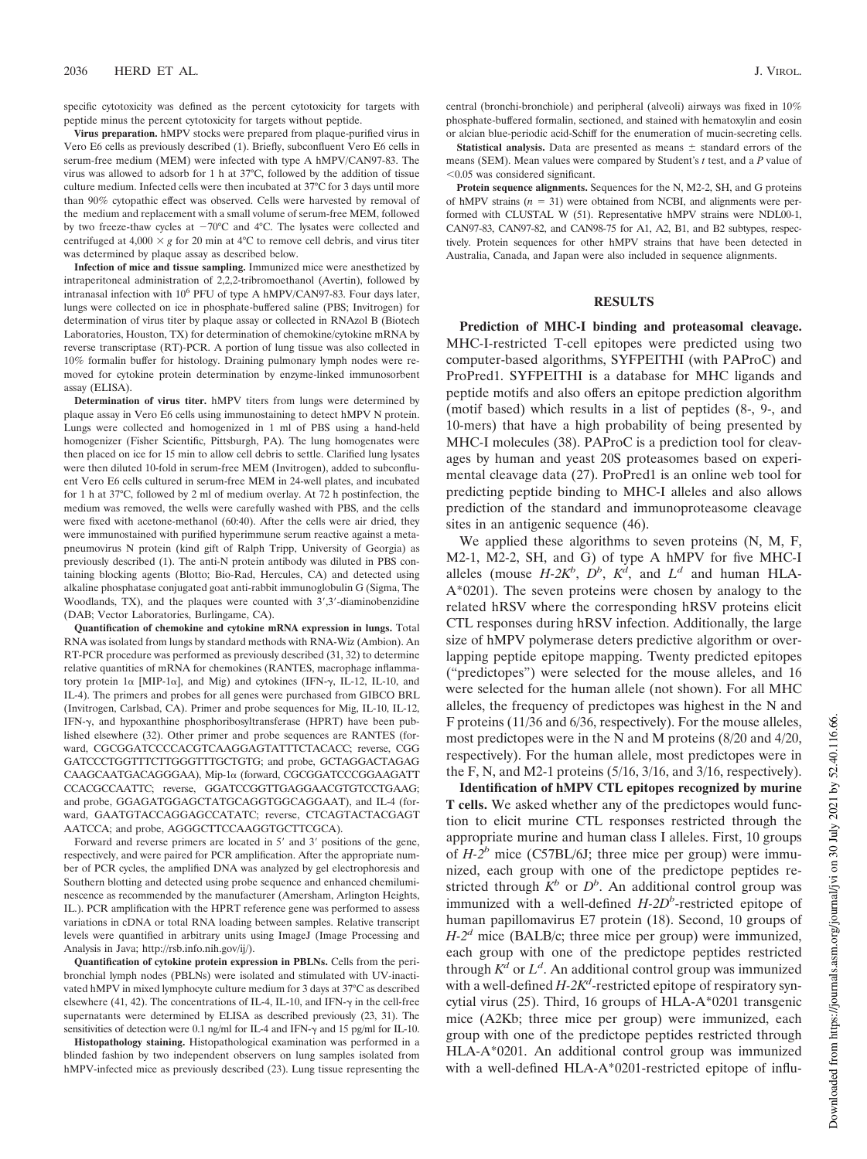specific cytotoxicity was defined as the percent cytotoxicity for targets with peptide minus the percent cytotoxicity for targets without peptide.

**Virus preparation.** hMPV stocks were prepared from plaque-purified virus in Vero E6 cells as previously described (1). Briefly, subconfluent Vero E6 cells in serum-free medium (MEM) were infected with type A hMPV/CAN97-83. The virus was allowed to adsorb for 1 h at 37°C, followed by the addition of tissue culture medium. Infected cells were then incubated at 37°C for 3 days until more than 90% cytopathic effect was observed. Cells were harvested by removal of the medium and replacement with a small volume of serum-free MEM, followed by two freeze-thaw cycles at  $-70^{\circ}$ C and 4°C. The lysates were collected and centrifuged at  $4,000 \times g$  for 20 min at 4<sup>o</sup>C to remove cell debris, and virus titer was determined by plaque assay as described below.

**Infection of mice and tissue sampling.** Immunized mice were anesthetized by intraperitoneal administration of 2,2,2-tribromoethanol (Avertin), followed by intranasal infection with 10<sup>6</sup> PFU of type A hMPV/CAN97-83. Four days later, lungs were collected on ice in phosphate-buffered saline (PBS; Invitrogen) for determination of virus titer by plaque assay or collected in RNAzol B (Biotech Laboratories, Houston, TX) for determination of chemokine/cytokine mRNA by reverse transcriptase (RT)-PCR. A portion of lung tissue was also collected in 10% formalin buffer for histology. Draining pulmonary lymph nodes were removed for cytokine protein determination by enzyme-linked immunosorbent assay (ELISA).

**Determination of virus titer.** hMPV titers from lungs were determined by plaque assay in Vero E6 cells using immunostaining to detect hMPV N protein. Lungs were collected and homogenized in 1 ml of PBS using a hand-held homogenizer (Fisher Scientific, Pittsburgh, PA). The lung homogenates were then placed on ice for 15 min to allow cell debris to settle. Clarified lung lysates were then diluted 10-fold in serum-free MEM (Invitrogen), added to subconfluent Vero E6 cells cultured in serum-free MEM in 24-well plates, and incubated for 1 h at 37°C, followed by 2 ml of medium overlay. At 72 h postinfection, the medium was removed, the wells were carefully washed with PBS, and the cells were fixed with acetone-methanol (60:40). After the cells were air dried, they were immunostained with purified hyperimmune serum reactive against a metapneumovirus N protein (kind gift of Ralph Tripp, University of Georgia) as previously described (1). The anti-N protein antibody was diluted in PBS containing blocking agents (Blotto; Bio-Rad, Hercules, CA) and detected using alkaline phosphatase conjugated goat anti-rabbit immunoglobulin G (Sigma, The Woodlands, TX), and the plaques were counted with  $3^{\prime}, 3^{\prime}$ -diaminobenzidine (DAB; Vector Laboratories, Burlingame, CA).

**Quantification of chemokine and cytokine mRNA expression in lungs.** Total RNA was isolated from lungs by standard methods with RNA-Wiz (Ambion). An RT-PCR procedure was performed as previously described (31, 32) to determine relative quantities of mRNA for chemokines (RANTES, macrophage inflammatory protein  $1\alpha$  [MIP-1 $\alpha$ ], and Mig) and cytokines (IFN- $\gamma$ , IL-12, IL-10, and IL-4). The primers and probes for all genes were purchased from GIBCO BRL (Invitrogen, Carlsbad, CA). Primer and probe sequences for Mig, IL-10, IL-12, IFN- $\gamma$ , and hypoxanthine phosphoribosyltransferase (HPRT) have been published elsewhere (32). Other primer and probe sequences are RANTES (forward, CGCGGATCCCCACGTCAAGGAGTATTTCTACACC; reverse, CGG GATCCCTGGTTTCTTGGGTTTGCTGTG; and probe, GCTAGGACTAGAG CAAGCAATGACAGGGAA), Mip-1a (forward, CGCGGATCCCGGAAGATT CCACGCCAATTC; reverse, GGATCCGGTTGAGGAACGTGTCCTGAAG; and probe, GGAGATGGAGCTATGCAGGTGGCAGGAAT), and IL-4 (forward, GAATGTACCAGGAGCCATATC; reverse, CTCAGTACTACGAGT AATCCA; and probe, AGGGCTTCCAAGGTGCTTCGCA).

Forward and reverse primers are located in 5' and 3' positions of the gene, respectively, and were paired for PCR amplification. After the appropriate number of PCR cycles, the amplified DNA was analyzed by gel electrophoresis and Southern blotting and detected using probe sequence and enhanced chemiluminescence as recommended by the manufacturer (Amersham, Arlington Heights, IL.). PCR amplification with the HPRT reference gene was performed to assess variations in cDNA or total RNA loading between samples. Relative transcript levels were quantified in arbitrary units using ImageJ (Image Processing and Analysis in Java; http://rsb.info.nih.gov/ij/).

**Quantification of cytokine protein expression in PBLNs.** Cells from the peribronchial lymph nodes (PBLNs) were isolated and stimulated with UV-inactivated hMPV in mixed lymphocyte culture medium for 3 days at 37°C as described elsewhere (41, 42). The concentrations of IL-4, IL-10, and IFN- $\gamma$  in the cell-free supernatants were determined by ELISA as described previously (23, 31). The sensitivities of detection were 0.1 ng/ml for IL-4 and IFN- $\gamma$  and 15 pg/ml for IL-10.

**Histopathology staining.** Histopathological examination was performed in a blinded fashion by two independent observers on lung samples isolated from hMPV-infected mice as previously described (23). Lung tissue representing the

central (bronchi-bronchiole) and peripheral (alveoli) airways was fixed in 10% phosphate-buffered formalin, sectioned, and stained with hematoxylin and eosin or alcian blue-periodic acid-Schiff for the enumeration of mucin-secreting cells.

**Statistical analysis.** Data are presented as means  $\pm$  standard errors of the means (SEM). Mean values were compared by Student's *t* test, and a *P* value of  $<$ 0.05 was considered significant.

**Protein sequence alignments.** Sequences for the N, M2-2, SH, and G proteins of hMPV strains  $(n = 31)$  were obtained from NCBI, and alignments were performed with CLUSTAL W (51). Representative hMPV strains were NDL00-1, CAN97-83, CAN97-82, and CAN98-75 for A1, A2, B1, and B2 subtypes, respectively. Protein sequences for other hMPV strains that have been detected in Australia, Canada, and Japan were also included in sequence alignments.

# **RESULTS**

**Prediction of MHC-I binding and proteasomal cleavage.** MHC-I-restricted T-cell epitopes were predicted using two computer-based algorithms, SYFPEITHI (with PAProC) and ProPred1. SYFPEITHI is a database for MHC ligands and peptide motifs and also offers an epitope prediction algorithm (motif based) which results in a list of peptides (8-, 9-, and 10-mers) that have a high probability of being presented by MHC-I molecules (38). PAProC is a prediction tool for cleavages by human and yeast 20S proteasomes based on experimental cleavage data (27). ProPred1 is an online web tool for predicting peptide binding to MHC-I alleles and also allows prediction of the standard and immunoproteasome cleavage sites in an antigenic sequence (46).

We applied these algorithms to seven proteins (N, M, F, M2-1, M2-2, SH, and G) of type A hMPV for five MHC-I alleles (mouse  $H-2K^b$ ,  $D^b$ ,  $K^d$ , and  $L^d$  and human HLA-A\*0201). The seven proteins were chosen by analogy to the related hRSV where the corresponding hRSV proteins elicit CTL responses during hRSV infection. Additionally, the large size of hMPV polymerase deters predictive algorithm or overlapping peptide epitope mapping. Twenty predicted epitopes ("predictopes") were selected for the mouse alleles, and 16 were selected for the human allele (not shown). For all MHC alleles, the frequency of predictopes was highest in the N and F proteins (11/36 and 6/36, respectively). For the mouse alleles, most predictopes were in the N and M proteins (8/20 and 4/20, respectively). For the human allele, most predictopes were in the F, N, and M2-1 proteins (5/16, 3/16, and 3/16, respectively).

**Identification of hMPV CTL epitopes recognized by murine T cells.** We asked whether any of the predictopes would function to elicit murine CTL responses restricted through the appropriate murine and human class I alleles. First, 10 groups of *H-2<sup>b</sup>* mice (C57BL/6J; three mice per group) were immunized, each group with one of the predictope peptides restricted through  $K^b$  or  $D^b$ . An additional control group was immunized with a well-defined  $H$ -2D<sup>b</sup>-restricted epitope of human papillomavirus E7 protein (18). Second, 10 groups of *H-2<sup>d</sup>* mice (BALB/c; three mice per group) were immunized, each group with one of the predictope peptides restricted through  $K^{\bar{d}}$  or  $L^d$ . An additional control group was immunized with a well-defined *H-2K<sup>d</sup>*-restricted epitope of respiratory syncytial virus (25). Third, 16 groups of HLA-A\*0201 transgenic mice (A2Kb; three mice per group) were immunized, each group with one of the predictope peptides restricted through HLA-A\*0201. An additional control group was immunized with a well-defined HLA-A\*0201-restricted epitope of influ-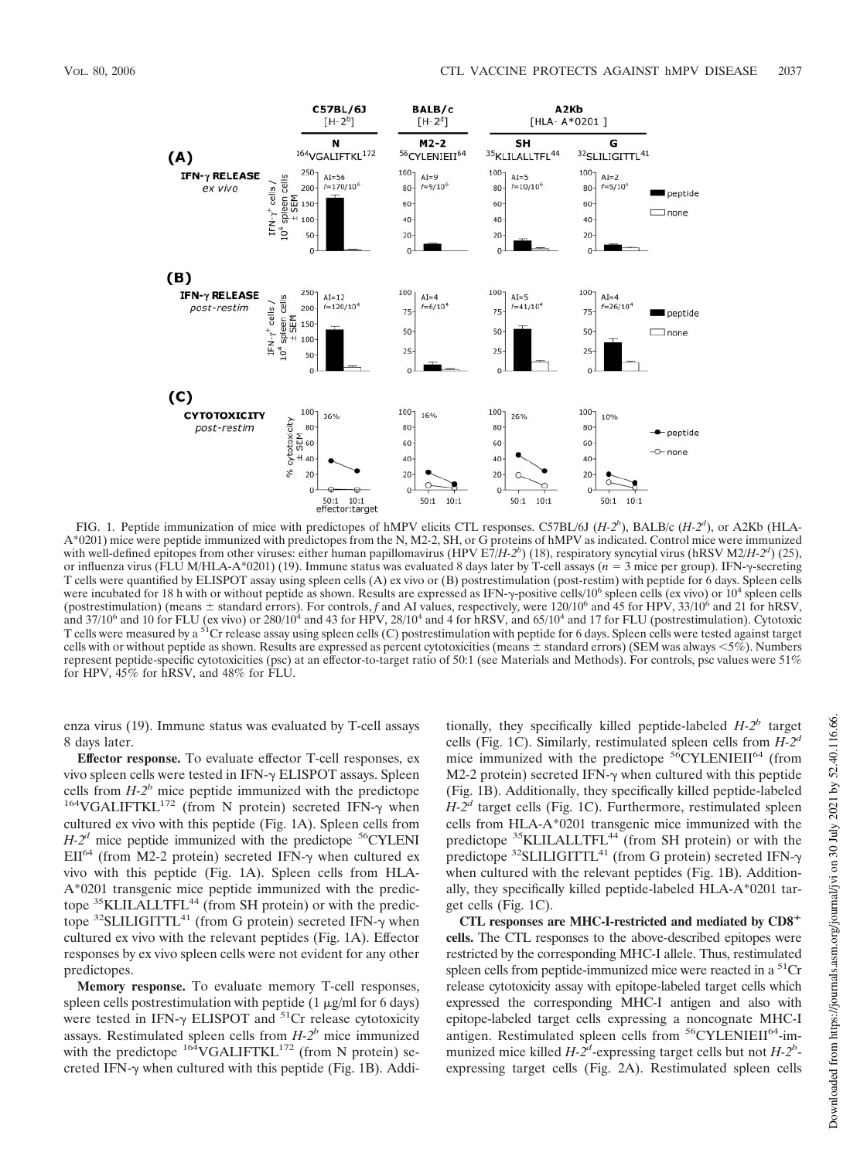

FIG. 1. Peptide immunization of mice with predictopes of hMPV elicits CTL responses. C57BL/6J (*H-2<sup>b</sup>* ), BALB/c (*H-2<sup>d</sup>* ), or A2Kb (HLA-A\*0201) mice were peptide immunized with predictopes from the N, M2-2, SH, or G proteins of hMPV as indicated. Control mice were immunized with well-defined epitopes from other viruses: either human papillomavirus (HPV E7/*H-2<sup>b</sup>*) (18), respiratory syncytial virus (hRSV M2/*H-2<sup>d</sup>*) (25), or influenza virus (FLU M/HLA-A\*0201) (19). Immune status was evaluated 8 days later by T-cell assays (*n* = 3 mice per group). IFN- $\gamma$ -secreting T cells were quantified by ELISPOT assay using spleen cells (A) ex vivo or (B) postrestimulation (post-restim) with peptide for 6 days. Spleen cells were incubated for 18 h with or without peptide as shown. Results are expressed as IFN- $\gamma$ -positive cells/10<sup>6</sup> spleen cells (ex vivo) or 10<sup>4</sup> spleen cells (postrestimulation) (means  $\pm$  standard errors). For controls, f and AI values, respectively, were 120/10<sup>6</sup> and 45 for HPV, 33/10<sup>6</sup> and 21 for hRSV, and  $37/10^6$  and 10 for FLU (ex vivo) or  $280/10^4$  and 43 for HPV,  $28/10^4$  and 4 for hRSV, and  $65/10^4$  and 17 for FLU (postrestimulation). Cytotoxic T cells were measured by a <sup>51</sup>Cr release assay using spleen cells (C) postrestimulation with peptide for 6 days. Spleen cells were tested against target cells with or without peptide as shown. Results are expressed as percent cytotoxicities (means  $\pm$  standard errors) (SEM was always  $\lt 5\%$ ). Numbers represent peptide-specific cytotoxicities (psc) at an effector-to-target ratio of 50:1 (see Materials and Methods). For controls, psc values were 51% for HPV, 45% for hRSV, and 48% for FLU.

enza virus (19). Immune status was evaluated by T-cell assays 8 days later.

**Effector response.** To evaluate effector T-cell responses, ex vivo spleen cells were tested in  $IFN-\gamma$  ELISPOT assays. Spleen cells from  $H-2^b$  mice peptide immunized with the predictope  $164\text{VGALIFT}$ KL $172$  (from N protein) secreted IFN- $\gamma$  when cultured ex vivo with this peptide (Fig. 1A). Spleen cells from  $H-2^d$  mice peptide immunized with the predictope  $56$ CYLENI  $EH^{64}$  (from M2-2 protein) secreted IFN- $\gamma$  when cultured ex vivo with this peptide (Fig. 1A). Spleen cells from HLA-A\*0201 transgenic mice peptide immunized with the predictope <sup>35</sup>KLILALLTFL<sup>44</sup> (from SH protein) or with the predictope  $32$ SLILIGITTL<sup>41</sup> (from G protein) secreted IFN- $\gamma$  when cultured ex vivo with the relevant peptides (Fig. 1A). Effector responses by ex vivo spleen cells were not evident for any other predictopes.

**Memory response.** To evaluate memory T-cell responses, spleen cells postrestimulation with peptide  $(1 \mu g/ml$  for 6 days) were tested in IFN- $\gamma$  ELISPOT and  $51$ Cr release cytotoxicity assays. Restimulated spleen cells from *H-2<sup>b</sup>* mice immunized with the predictope  $164 \text{VGALIFTKL}^{172}$  (from N protein) secreted IFN- $\gamma$  when cultured with this peptide (Fig. 1B). Addi-

tionally, they specifically killed peptide-labeled *H-2<sup>b</sup>* target cells (Fig. 1C). Similarly, restimulated spleen cells from *H-2<sup>d</sup>* mice immunized with the predictope  $56$ CYLENIEII<sup>64</sup> (from M2-2 protein) secreted IFN- $\gamma$  when cultured with this peptide (Fig. 1B). Additionally, they specifically killed peptide-labeled *H-2<sup>d</sup>* target cells (Fig. 1C). Furthermore, restimulated spleen cells from HLA-A\*0201 transgenic mice immunized with the predictope <sup>35</sup>KLILALLTFL<sup>44</sup> (from SH protein) or with the predictope  $32$ SLILIGITTL<sup>41</sup> (from G protein) secreted IFN- $\gamma$ when cultured with the relevant peptides (Fig. 1B). Additionally, they specifically killed peptide-labeled HLA-A\*0201 target cells (Fig. 1C).

**CTL responses are MHC-I-restricted and mediated by CD8 cells.** The CTL responses to the above-described epitopes were restricted by the corresponding MHC-I allele. Thus, restimulated spleen cells from peptide-immunized mice were reacted in a  ${}^{51}Cr$ release cytotoxicity assay with epitope-labeled target cells which expressed the corresponding MHC-I antigen and also with epitope-labeled target cells expressing a noncognate MHC-I antigen. Restimulated spleen cells from <sup>56</sup>CYLENIEII<sup>64</sup>-immunized mice killed  $H - 2^d$ -expressing target cells but not  $H - 2^b$ expressing target cells (Fig. 2A). Restimulated spleen cells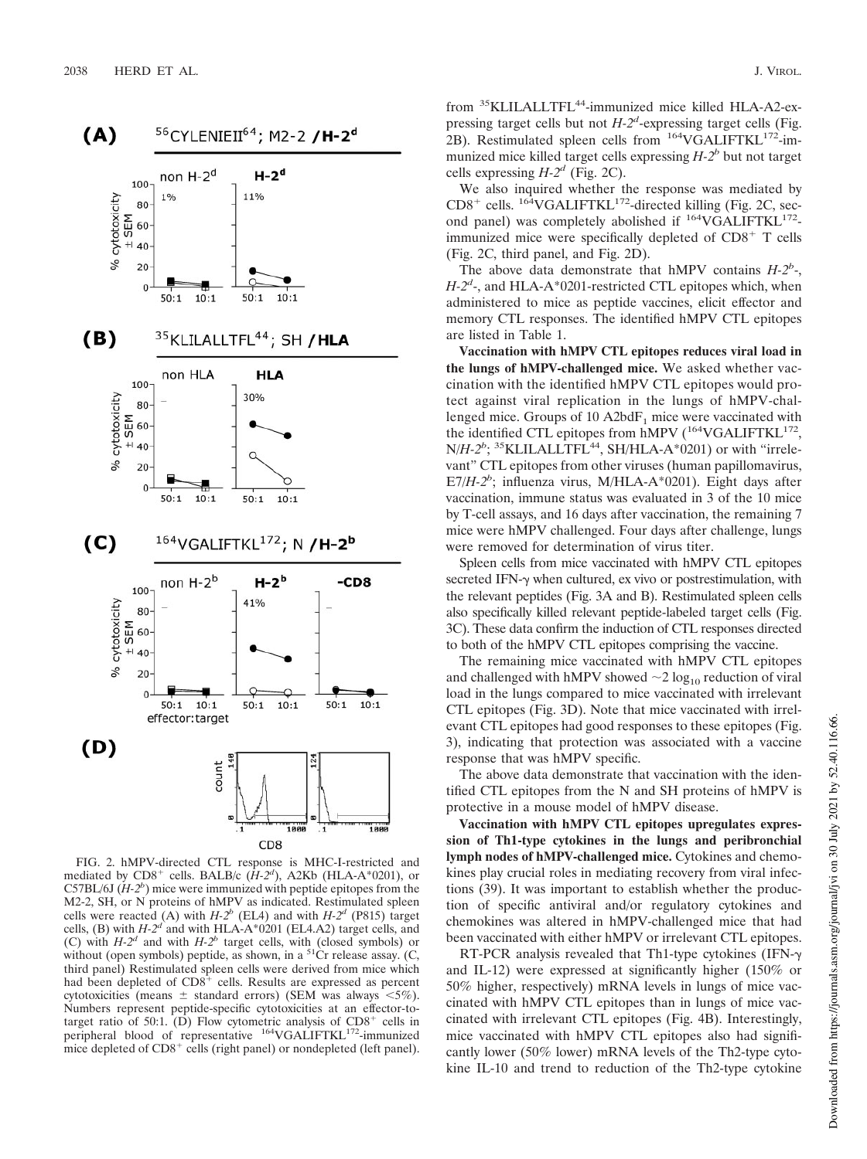

FIG. 2. hMPV-directed CTL response is MHC-I-restricted and mediated by  $CD8^+$  cells. BALB/c  $(H-2^d)$ , A2Kb (HLA-A\*0201), or C57BL/6J  $(H-2^b)$  mice were immunized with peptide epitopes from the M2-2, SH, or N proteins of hMPV as indicated. Restimulated spleen cells were reacted (A) with  $H-2^b$  (EL4) and with  $H-2^d$  (P815) target cells, (B) with  $H-2^d$  and with  $HLA-A^*0201$  (EL4.A2) target cells, and (C) with  $H-2^d$  and with  $H-2^b$  target cells, with (closed symbols) or without (open symbols) peptide, as shown, in a  $51$ Cr release assay. (C, third panel) Restimulated spleen cells were derived from mice which had been depleted of  $CDS^+$  cells. Results are expressed as percent cytotoxicities (means  $\pm$  standard errors) (SEM was always  $\lt 5\%$ ). Numbers represent peptide-specific cytotoxicities at an effector-totarget ratio of 50:1. (D) Flow cytometric analysis of  $CD8<sup>+</sup>$  cells in peripheral blood of representative <sup>164</sup>VGALIFTKL<sup>172</sup>-immunized mice depleted of  $CD8<sup>+</sup>$  cells (right panel) or nondepleted (left panel).

from <sup>35</sup>KLILALLTFL<sup>44</sup>-immunized mice killed HLA-A2-expressing target cells but not *H-2<sup>d</sup>* -expressing target cells (Fig. 2B). Restimulated spleen cells from  $164 \text{VGALIFTKL}$ <sup>172</sup>-immunized mice killed target cells expressing *H-2<sup>b</sup>* but not target cells expressing  $H-2^d$  (Fig. 2C).

We also inquired whether the response was mediated by  $CD8^+$  cells. <sup>164</sup>VGALIFTKL<sup>172</sup>-directed killing (Fig. 2C, second panel) was completely abolished if <sup>164</sup>VGALIFTKL<sup>172</sup>immunized mice were specifically depleted of  $CD8<sup>+</sup>$  T cells (Fig. 2C, third panel, and Fig. 2D).

The above data demonstrate that hMPV contains  $H-2^b$ -, H-2<sup>d</sup>-, and HLA-A\*0201-restricted CTL epitopes which, when administered to mice as peptide vaccines, elicit effector and memory CTL responses. The identified hMPV CTL epitopes are listed in Table 1.

**Vaccination with hMPV CTL epitopes reduces viral load in the lungs of hMPV-challenged mice.** We asked whether vaccination with the identified hMPV CTL epitopes would protect against viral replication in the lungs of hMPV-challenged mice. Groups of 10  $A2bdF<sub>1</sub>$  mice were vaccinated with the identified CTL epitopes from hMPV (<sup>164</sup>VGALIFTKL<sup>172</sup>, N/H-2<sup>b</sup>; <sup>35</sup>KLILALLTFL<sup>44</sup>, SH/HLA-A\*0201) or with "irrelevant" CTL epitopes from other viruses (human papillomavirus, E7/*H-2<sup>b</sup>* ; influenza virus, M/HLA-A\*0201). Eight days after vaccination, immune status was evaluated in 3 of the 10 mice by T-cell assays, and 16 days after vaccination, the remaining 7 mice were hMPV challenged. Four days after challenge, lungs were removed for determination of virus titer.

Spleen cells from mice vaccinated with hMPV CTL epitopes secreted IFN- $\gamma$  when cultured, ex vivo or postrestimulation, with the relevant peptides (Fig. 3A and B). Restimulated spleen cells also specifically killed relevant peptide-labeled target cells (Fig. 3C). These data confirm the induction of CTL responses directed to both of the hMPV CTL epitopes comprising the vaccine.

The remaining mice vaccinated with hMPV CTL epitopes and challenged with hMPV showed  $\sim$  2 log<sub>10</sub> reduction of viral load in the lungs compared to mice vaccinated with irrelevant CTL epitopes (Fig. 3D). Note that mice vaccinated with irrelevant CTL epitopes had good responses to these epitopes (Fig. 3), indicating that protection was associated with a vaccine response that was hMPV specific.

The above data demonstrate that vaccination with the identified CTL epitopes from the N and SH proteins of hMPV is protective in a mouse model of hMPV disease.

**Vaccination with hMPV CTL epitopes upregulates expression of Th1-type cytokines in the lungs and peribronchial lymph nodes of hMPV-challenged mice.** Cytokines and chemokines play crucial roles in mediating recovery from viral infections (39). It was important to establish whether the production of specific antiviral and/or regulatory cytokines and chemokines was altered in hMPV-challenged mice that had been vaccinated with either hMPV or irrelevant CTL epitopes.

RT-PCR analysis revealed that Th1-type cytokines (IFN- $\gamma$ ) and IL-12) were expressed at significantly higher (150% or 50% higher, respectively) mRNA levels in lungs of mice vaccinated with hMPV CTL epitopes than in lungs of mice vaccinated with irrelevant CTL epitopes (Fig. 4B). Interestingly, mice vaccinated with hMPV CTL epitopes also had significantly lower (50% lower) mRNA levels of the Th2-type cytokine IL-10 and trend to reduction of the Th2-type cytokine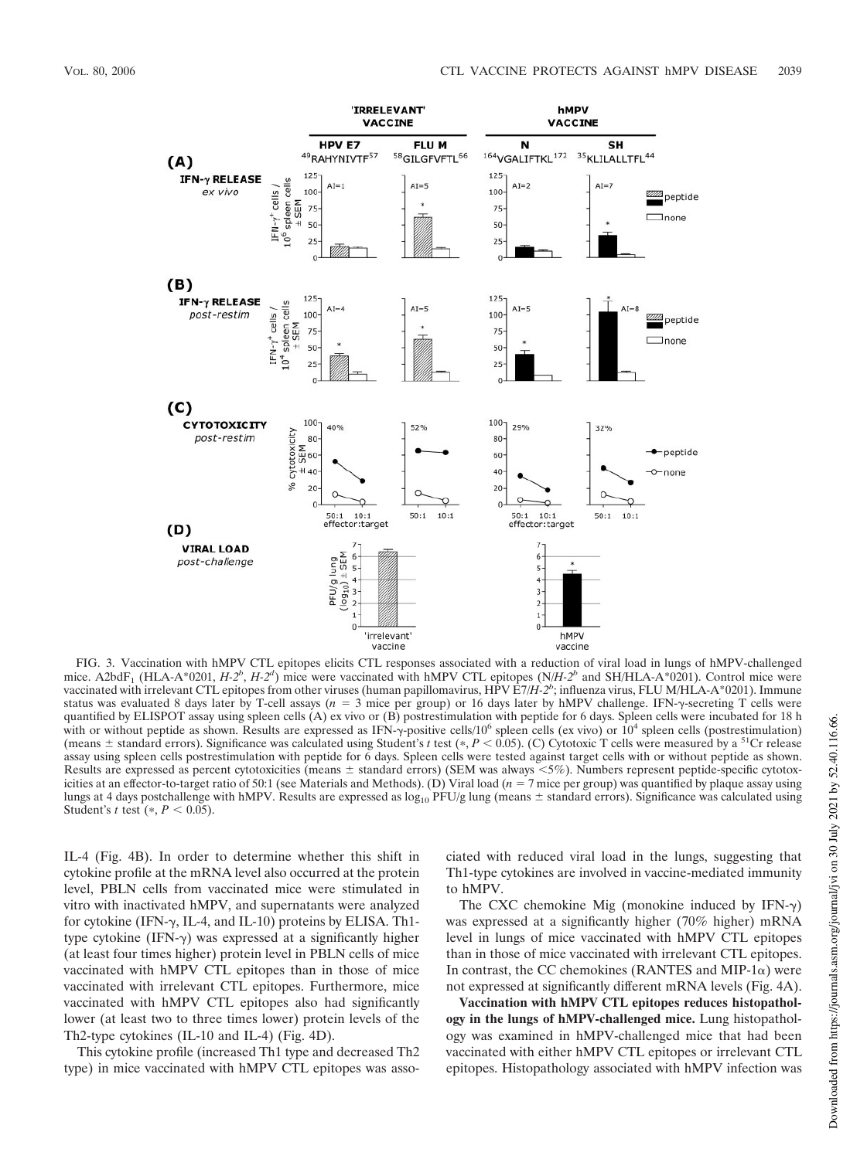

FIG. 3. Vaccination with hMPV CTL epitopes elicits CTL responses associated with a reduction of viral load in lungs of hMPV-challenged mice. A2bdF<sub>1</sub> (HLA-A\*0201, *H-2<sup>b</sup>*, *H-2<sup>d</sup>*) mice were vaccinated with hMPV CTL epitopes (N/*H-2<sup>b</sup>* and SH/HLA-A\*0201). Control mice were vaccinated with irrelevant CTL epitopes from other viruses (human papillomavirus, HPV E7/*H-2<sup>b</sup>* ; influenza virus, FLU M/HLA-A\*0201). Immune status was evaluated 8 days later by T-cell assays (*n* = 3 mice per group) or 16 days later by hMPV challenge. IFN-y-secreting T cells were quantified by ELISPOT assay using spleen cells (A) ex vivo or (B) postrestimulation with peptide for 6 days. Spleen cells were incubated for 18 h with or without peptide as shown. Results are expressed as IFN- $\gamma$ -positive cells/10<sup>6</sup> spleen cells (ex vivo) or  $10^4$  spleen cells (postrestimulation) (means  $\pm$  standard errors). Significance was calculated using Student's *t* test (\*, *P* < 0.05). (C) Cytotoxic T cells were measured by a <sup>51</sup>Cr release assay using spleen cells postrestimulation with peptide for 6 days. Spleen cells were tested against target cells with or without peptide as shown. Results are expressed as percent cytotoxicities (means  $\pm$  standard errors) (SEM was always <5%). Numbers represent peptide-specific cytotoxicities at an effector-to-target ratio of 50:1 (see Materials and Methods). (D) Viral load (*n* - 7 mice per group) was quantified by plaque assay using lungs at 4 days postchallenge with hMPV. Results are expressed as  $log_{10}$  PFU/g lung (means  $\pm$  standard errors). Significance was calculated using Student's *t* test  $(*, P < 0.05)$ .

IL-4 (Fig. 4B). In order to determine whether this shift in cytokine profile at the mRNA level also occurred at the protein level, PBLN cells from vaccinated mice were stimulated in vitro with inactivated hMPV, and supernatants were analyzed for cytokine (IFN- $\gamma$ , IL-4, and IL-10) proteins by ELISA. Th1type cytokine  $(IFN-\gamma)$  was expressed at a significantly higher (at least four times higher) protein level in PBLN cells of mice vaccinated with hMPV CTL epitopes than in those of mice vaccinated with irrelevant CTL epitopes. Furthermore, mice vaccinated with hMPV CTL epitopes also had significantly lower (at least two to three times lower) protein levels of the Th2-type cytokines (IL-10 and IL-4) (Fig. 4D).

This cytokine profile (increased Th1 type and decreased Th2 type) in mice vaccinated with hMPV CTL epitopes was associated with reduced viral load in the lungs, suggesting that Th1-type cytokines are involved in vaccine-mediated immunity to hMPV.

The CXC chemokine Mig (monokine induced by IFN- $\gamma$ ) was expressed at a significantly higher (70% higher) mRNA level in lungs of mice vaccinated with hMPV CTL epitopes than in those of mice vaccinated with irrelevant CTL epitopes. In contrast, the CC chemokines (RANTES and MIP-1 $\alpha$ ) were not expressed at significantly different mRNA levels (Fig. 4A).

**Vaccination with hMPV CTL epitopes reduces histopathology in the lungs of hMPV-challenged mice.** Lung histopathology was examined in hMPV-challenged mice that had been vaccinated with either hMPV CTL epitopes or irrelevant CTL epitopes. Histopathology associated with hMPV infection was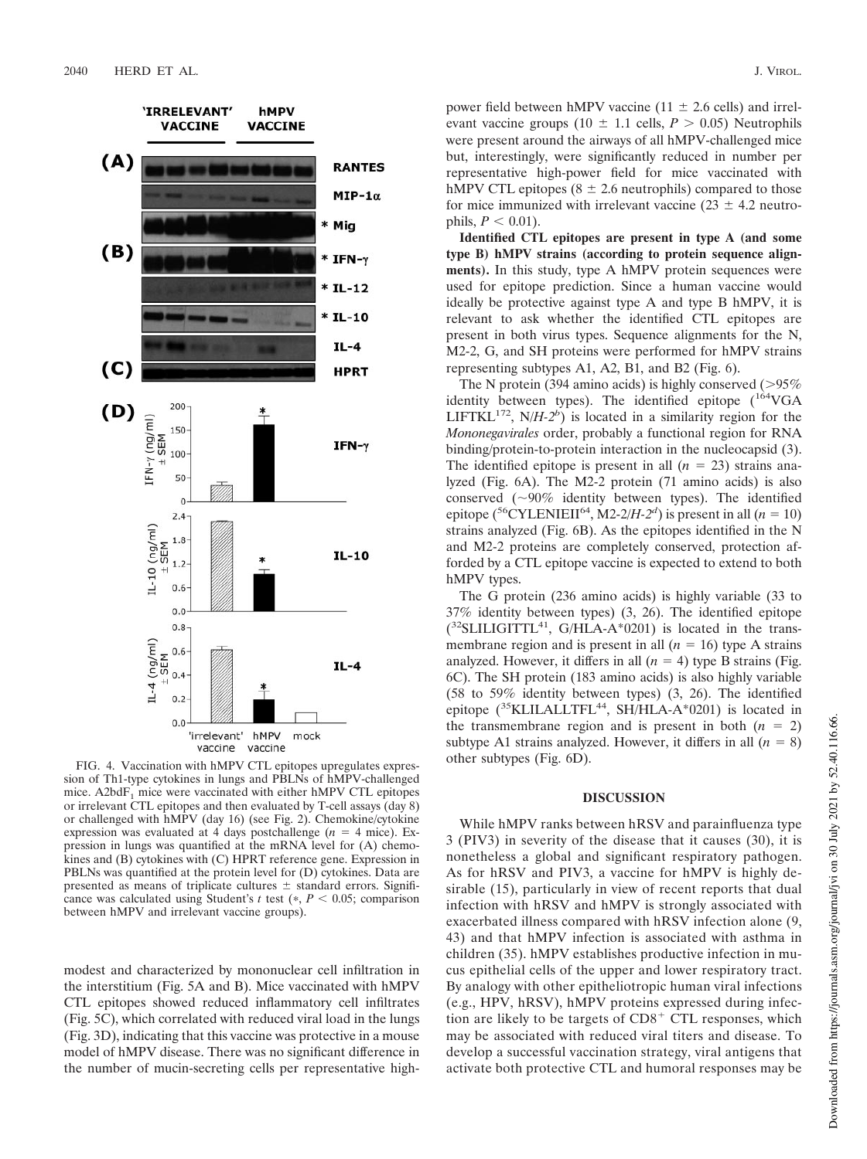

FIG. 4. Vaccination with hMPV CTL epitopes upregulates expression of Th1-type cytokines in lungs and PBLNs of hMPV-challenged mice. A2bdF<sub>1</sub> mice were vaccinated with either hMPV CTL epitopes or irrelevant CTL epitopes and then evaluated by T-cell assays (day 8) or challenged with hMPV (day 16) (see Fig. 2). Chemokine/cytokine expression was evaluated at 4 days postchallenge  $(n = 4$  mice). Expression in lungs was quantified at the mRNA level for (A) chemokines and (B) cytokines with (C) HPRT reference gene. Expression in PBLNs was quantified at the protein level for (D) cytokines. Data are presented as means of triplicate cultures  $\pm$  standard errors. Significance was calculated using Student's  $t$  test ( $\ast$ ,  $P < 0.05$ ; comparison between hMPV and irrelevant vaccine groups).

modest and characterized by mononuclear cell infiltration in the interstitium (Fig. 5A and B). Mice vaccinated with hMPV CTL epitopes showed reduced inflammatory cell infiltrates (Fig. 5C), which correlated with reduced viral load in the lungs (Fig. 3D), indicating that this vaccine was protective in a mouse model of hMPV disease. There was no significant difference in the number of mucin-secreting cells per representative highpower field between hMPV vaccine (11  $\pm$  2.6 cells) and irrelevant vaccine groups (10  $\pm$  1.1 cells, *P* > 0.05) Neutrophils were present around the airways of all hMPV-challenged mice but, interestingly, were significantly reduced in number per representative high-power field for mice vaccinated with hMPV CTL epitopes ( $8 \pm 2.6$  neutrophils) compared to those for mice immunized with irrelevant vaccine ( $23 \pm 4.2$  neutrophils,  $P < 0.01$ ).

**Identified CTL epitopes are present in type A (and some type B) hMPV strains (according to protein sequence alignments).** In this study, type A hMPV protein sequences were used for epitope prediction. Since a human vaccine would ideally be protective against type A and type B hMPV, it is relevant to ask whether the identified CTL epitopes are present in both virus types. Sequence alignments for the N, M2-2, G, and SH proteins were performed for hMPV strains representing subtypes A1, A2, B1, and B2 (Fig. 6).

The N protein (394 amino acids) is highly conserved  $(>95\%$ identity between types). The identified epitope  $(^{164}VGA)$ LIFTKL<sup>172</sup>, N/*H-2<sup>b</sup>*) is located in a similarity region for the *Mononegavirales* order, probably a functional region for RNA binding/protein-to-protein interaction in the nucleocapsid (3). The identified epitope is present in all  $(n = 23)$  strains analyzed (Fig. 6A). The M2-2 protein (71 amino acids) is also conserved ( 90% identity between types). The identified epitope (<sup>56</sup>CYLENIEII<sup>64</sup>, M2-2/*H-2<sup><i>d*</sup>)</sub> is present in all (*n* = 10) strains analyzed (Fig. 6B). As the epitopes identified in the N and M2-2 proteins are completely conserved, protection afforded by a CTL epitope vaccine is expected to extend to both hMPV types.

The G protein (236 amino acids) is highly variable (33 to 37% identity between types) (3, 26). The identified epitope  $(^{32}$ SLILIGITTL<sup>41</sup>, G/HLA-A\*0201) is located in the transmembrane region and is present in all  $(n = 16)$  type A strains analyzed. However, it differs in all  $(n = 4)$  type B strains (Fig. 6C). The SH protein (183 amino acids) is also highly variable (58 to 59% identity between types) (3, 26). The identified epitope (<sup>35</sup>KLILALLTFL<sup>44</sup>, SH/HLA-A\*0201) is located in the transmembrane region and is present in both  $(n = 2)$ subtype A1 strains analyzed. However, it differs in all  $(n = 8)$ other subtypes (Fig. 6D).

# **DISCUSSION**

While hMPV ranks between hRSV and parainfluenza type 3 (PIV3) in severity of the disease that it causes (30), it is nonetheless a global and significant respiratory pathogen. As for hRSV and PIV3, a vaccine for hMPV is highly desirable (15), particularly in view of recent reports that dual infection with hRSV and hMPV is strongly associated with exacerbated illness compared with hRSV infection alone (9, 43) and that hMPV infection is associated with asthma in children (35). hMPV establishes productive infection in mucus epithelial cells of the upper and lower respiratory tract. By analogy with other epitheliotropic human viral infections (e.g., HPV, hRSV), hMPV proteins expressed during infection are likely to be targets of  $CD8<sup>+</sup>$  CTL responses, which may be associated with reduced viral titers and disease. To develop a successful vaccination strategy, viral antigens that activate both protective CTL and humoral responses may be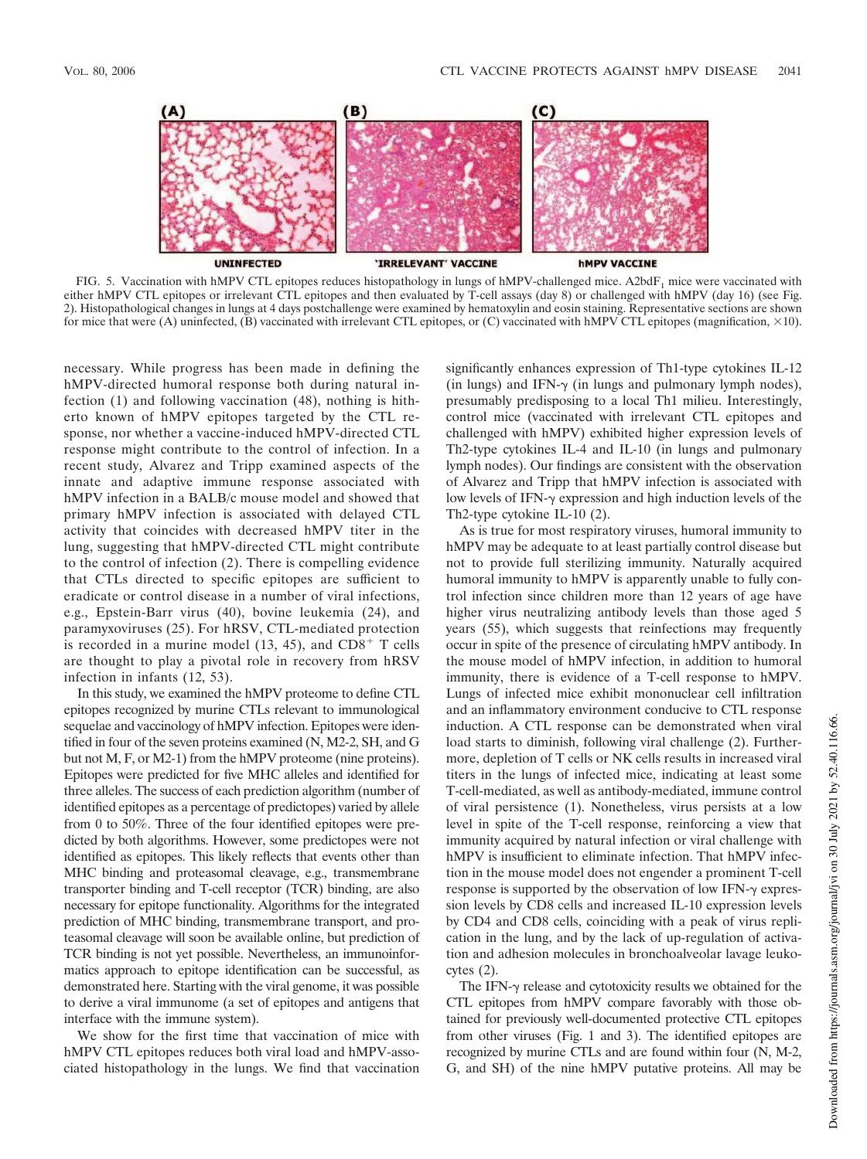

FIG. 5. Vaccination with hMPV CTL epitopes reduces histopathology in lungs of hMPV-challenged mice. A2bdF<sub>1</sub> mice were vaccinated with either hMPV CTL epitopes or irrelevant CTL epitopes and then evaluated by T-cell assays (day 8) or challenged with hMPV (day 16) (see Fig. 2). Histopathological changes in lungs at 4 days postchallenge were examined by hematoxylin and eosin staining. Representative sections are shown for mice that were (A) uninfected,  $(B)$  vaccinated with irrelevant CTL epitopes, or (C) vaccinated with hMPV CTL epitopes (magnification,  $\times$ 10).

necessary. While progress has been made in defining the hMPV-directed humoral response both during natural infection (1) and following vaccination (48), nothing is hitherto known of hMPV epitopes targeted by the CTL response, nor whether a vaccine-induced hMPV-directed CTL response might contribute to the control of infection. In a recent study, Alvarez and Tripp examined aspects of the innate and adaptive immune response associated with hMPV infection in a BALB/c mouse model and showed that primary hMPV infection is associated with delayed CTL activity that coincides with decreased hMPV titer in the lung, suggesting that hMPV-directed CTL might contribute to the control of infection (2). There is compelling evidence that CTLs directed to specific epitopes are sufficient to eradicate or control disease in a number of viral infections, e.g., Epstein-Barr virus (40), bovine leukemia (24), and paramyxoviruses (25). For hRSV, CTL-mediated protection is recorded in a murine model  $(13, 45)$ , and  $CD8<sup>+</sup>$  T cells are thought to play a pivotal role in recovery from hRSV infection in infants (12, 53).

In this study, we examined the hMPV proteome to define CTL epitopes recognized by murine CTLs relevant to immunological sequelae and vaccinology of hMPV infection. Epitopes were identified in four of the seven proteins examined (N, M2-2, SH, and G but not M, F, or M2-1) from the hMPV proteome (nine proteins). Epitopes were predicted for five MHC alleles and identified for three alleles. The success of each prediction algorithm (number of identified epitopes as a percentage of predictopes) varied by allele from 0 to 50%. Three of the four identified epitopes were predicted by both algorithms. However, some predictopes were not identified as epitopes. This likely reflects that events other than MHC binding and proteasomal cleavage, e.g., transmembrane transporter binding and T-cell receptor (TCR) binding, are also necessary for epitope functionality. Algorithms for the integrated prediction of MHC binding, transmembrane transport, and proteasomal cleavage will soon be available online, but prediction of TCR binding is not yet possible. Nevertheless, an immunoinformatics approach to epitope identification can be successful, as demonstrated here. Starting with the viral genome, it was possible to derive a viral immunome (a set of epitopes and antigens that interface with the immune system).

We show for the first time that vaccination of mice with hMPV CTL epitopes reduces both viral load and hMPV-associated histopathology in the lungs. We find that vaccination

significantly enhances expression of Th1-type cytokines IL-12 (in lungs) and IFN- $\gamma$  (in lungs and pulmonary lymph nodes), presumably predisposing to a local Th1 milieu. Interestingly, control mice (vaccinated with irrelevant CTL epitopes and challenged with hMPV) exhibited higher expression levels of Th2-type cytokines IL-4 and IL-10 (in lungs and pulmonary lymph nodes). Our findings are consistent with the observation of Alvarez and Tripp that hMPV infection is associated with low levels of IFN- $\gamma$  expression and high induction levels of the Th2-type cytokine IL-10 (2).

As is true for most respiratory viruses, humoral immunity to hMPV may be adequate to at least partially control disease but not to provide full sterilizing immunity. Naturally acquired humoral immunity to hMPV is apparently unable to fully control infection since children more than 12 years of age have higher virus neutralizing antibody levels than those aged 5 years (55), which suggests that reinfections may frequently occur in spite of the presence of circulating hMPV antibody. In the mouse model of hMPV infection, in addition to humoral immunity, there is evidence of a T-cell response to hMPV. Lungs of infected mice exhibit mononuclear cell infiltration and an inflammatory environment conducive to CTL response induction. A CTL response can be demonstrated when viral load starts to diminish, following viral challenge (2). Furthermore, depletion of T cells or NK cells results in increased viral titers in the lungs of infected mice, indicating at least some T-cell-mediated, as well as antibody-mediated, immune control of viral persistence (1). Nonetheless, virus persists at a low level in spite of the T-cell response, reinforcing a view that immunity acquired by natural infection or viral challenge with hMPV is insufficient to eliminate infection. That hMPV infection in the mouse model does not engender a prominent T-cell response is supported by the observation of low IFN- $\gamma$  expression levels by CD8 cells and increased IL-10 expression levels by CD4 and CD8 cells, coinciding with a peak of virus replication in the lung, and by the lack of up-regulation of activation and adhesion molecules in bronchoalveolar lavage leukocytes (2).

The IFN- $\gamma$  release and cytotoxicity results we obtained for the CTL epitopes from hMPV compare favorably with those obtained for previously well-documented protective CTL epitopes from other viruses (Fig. 1 and 3). The identified epitopes are recognized by murine CTLs and are found within four (N, M-2, G, and SH) of the nine hMPV putative proteins. All may be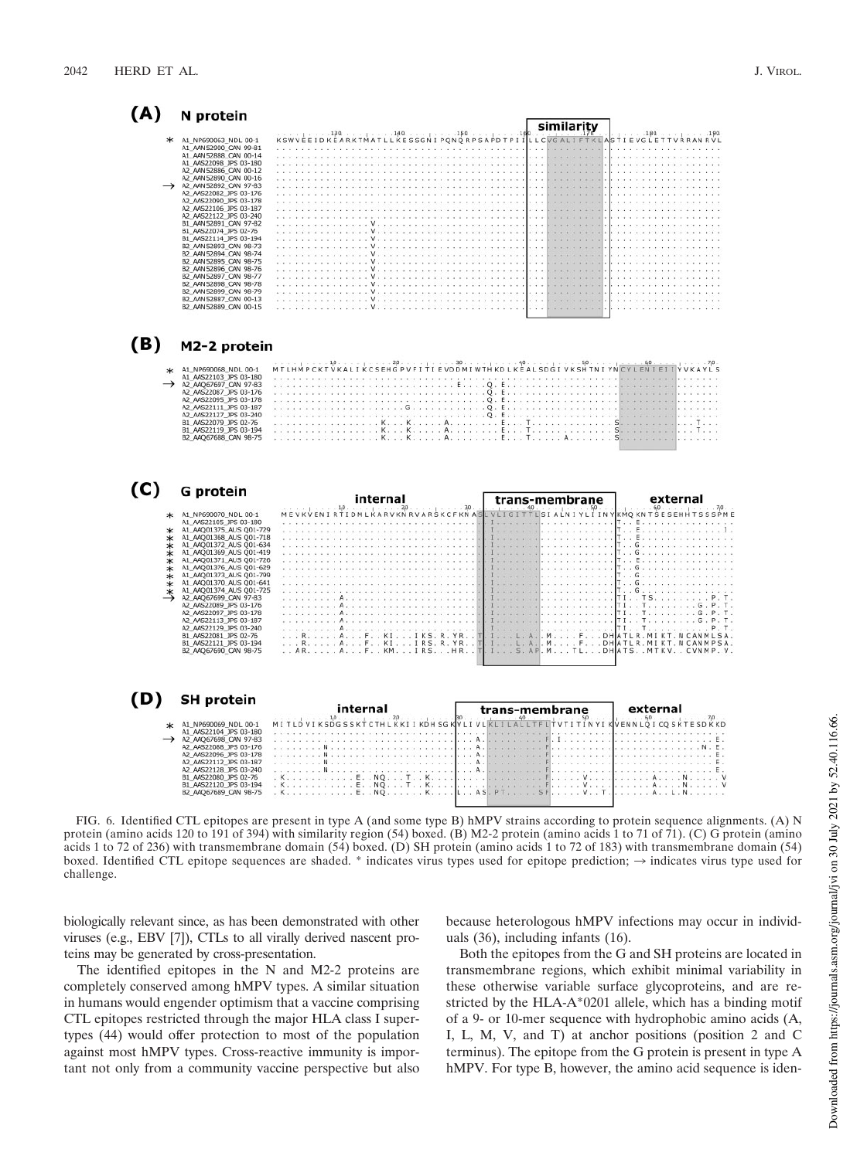$\overline{ }$ 

| (A)                                                               | N protein                                                                                                                                                                                                                                                                                                                                                                                                                                                                                                                                                                                          | similarity                                                                                                                                                                                                                                                                                                                                                       |
|-------------------------------------------------------------------|----------------------------------------------------------------------------------------------------------------------------------------------------------------------------------------------------------------------------------------------------------------------------------------------------------------------------------------------------------------------------------------------------------------------------------------------------------------------------------------------------------------------------------------------------------------------------------------------------|------------------------------------------------------------------------------------------------------------------------------------------------------------------------------------------------------------------------------------------------------------------------------------------------------------------------------------------------------------------|
| $\ast$                                                            | A1_NP690063_NDL 00-1<br>A1_AAN52900_CAN 99-81<br>A1_AAN52888_CAN 00-14<br>A1 AAS22098 JPS 03-180<br>A2 AAN 52886 CAN 00-12<br>A2_AAN52890_CAN 00-16<br>A2_AAN52892_CAN_97-83<br>A2_AAS22082_JPS 03-176<br>A2_AAS22090_JPS 03-178<br>A2_AAS22106_JPS 03-187<br>A2_AAS22122_JPS 03-240<br>B1_AAN52891_CAN_97-82<br>B1 A4S22074 JPS 02-76<br>B1_AAS22114_JPS 03-194<br>B2_AAN52893_CAN 98-73<br>B2_AAN52894_CAN_98-74<br>B2_AAN52895_CAN 98-75<br>B2_AAN52896_CAN_98-76<br>B2_AAN52897_CAN 98-77<br>B2_AAN52898_CAN 98-78<br>B2 AAN 52899 CAN 98-79<br>B2_AAN52887_CAN 00-13<br>B2 AAN52889 CAN 00-15 | 130<br>.140.<br>.150<br>.180.<br>LLCVGALIFTKLASTIEVGLETTVRRANRVL<br>KSWVEEIDKEARKTMATLLKESSGNIPQNQRPSAPDTPII<br>$\mathbf{V}$ . The state of the state of the state of the state of the state of the state of the state of the state of the state of the state of the state of the state of the state of the state of the state of the state of th<br>V.<br>$V$ . |
| (B)                                                               | M2-2 protein                                                                                                                                                                                                                                                                                                                                                                                                                                                                                                                                                                                       |                                                                                                                                                                                                                                                                                                                                                                  |
|                                                                   | * A1_NP690068_NDL 00-1<br>A1_AAS22103_JPS 03-180<br>→ A2_AAQ67697_CAN 97-83<br>A2_AAS22087_JPS 03-176<br>A2_AAS22095_JPS 03-178<br>A2_AAS22111_JPS 03-187<br>A2_AAS22127_JPS 03-240<br>B1_AAS22079_JPS 02-76<br>B1_AAS22119_JPS 03-194<br>B2_AAQ67688_CAN 98-75                                                                                                                                                                                                                                                                                                                                    | MTLHMPCKTVKALIKCSEHGPVFITIEVDDMIWTHKDLKEALSDGIVKSHTNIYNCYLENIEIIYVKAYLS                                                                                                                                                                                                                                                                                          |
| (C)                                                               | G protein                                                                                                                                                                                                                                                                                                                                                                                                                                                                                                                                                                                          | internal<br>external<br>trans-membrane                                                                                                                                                                                                                                                                                                                           |
| $\ast$<br>∗<br>∗<br>$\ast$<br>$* *$<br>$\ast$<br>$\ast$<br>$\ast$ | A1_NP690070_NDL 00-1<br>A1_AAS22105_JPS 03-180<br>A1_AAQ01375_AUS Q01-729<br>A1_AAQ01368_AUS Q01-718<br>A1_AAQ01372_AUS Q01-634<br>A1_AAQ01369_AUS Q01-419<br>A1_AAQ01371_AUS Q01-726<br>A1_AAQ01376_AUS Q01-629<br>AL_AAQ01373_AUS Q01-029<br>AL_AAQ01373_AUS Q01-799<br>AL_AAQ01370_AUS Q01-641<br>AL_AAQ01374_AUS Q01-725<br>A2_AAQ67699_CAN 97-83<br>A2_AAS22089_JPS 03-176<br>A2_AAS22097_JPS 03-178<br>A2_AAS22113_JPS 03-187<br>A2_AAS22129_JPS 03-240<br>B1_AAS22081_JPS 02-76<br>B1_AAS22121_JPS 03-194<br>B2_AAQ67690_CAN 98-75                                                          | MEVKVENIRTIDMLKARVKNRVARSKCFKNAS<br>VLIGITTLSIALNIYLIINYKMQKNTSESEHHTSSSPME<br>E<br>T. . E.<br>T. . E.<br>. <i>.</i><br>T. . G<br>T. . G<br>T. . G<br>T G<br>T. . G.<br>$TI$ TSP.T.<br>.<br>TITS. P.T.<br>T1TG.P.T.<br>TITG. P. T.<br>::: R::::: A::::::::::::::R::::::::<br>RAFKIIRS.R.YR<br>ARAFKMIRSHR                                                        |
| (D)                                                               | <b>SH protein</b>                                                                                                                                                                                                                                                                                                                                                                                                                                                                                                                                                                                  |                                                                                                                                                                                                                                                                                                                                                                  |
| ж                                                                 | A1_NP690069_NDL 00-1<br>A1 AAS22104 JPS 03-180<br>A2 AAQ67698 CAN 97-83<br>A2_AAS22088_JPS 03-176<br>A2_AAS22096_JPS 03-178                                                                                                                                                                                                                                                                                                                                                                                                                                                                        | <b>internal</b><br>Mitibviksbessktetnikkiikbnsenviivikitikitetteitvtitikkikken loitessa 20.<br>.<br>.<br>A.<br>$\sim$<br>نتبذ بالتناب<br>and the contract of a series of the series of the series of<br>$\ldots$ A.<br>access to a contract<br>. A .<br>.                                                                                                        |

protein (amino acids 120 to 191 of 394) with similarity region (54) boxed. (B) M2-2 protein (amino acids 1 to 71 of 71). (C) G protein (amino acids 1 to 72 of 236) with transmembrane domain (54) boxed. (D) SH protein (amino acids 1 to 72 of 183) with transmembrane domain (54) boxed. Identified CTL epitope sequences are shaded.  $*$  indicates virus types used for epitope prediction;  $\rightarrow$  indicates virus type used for challenge.

biologically relevant since, as has been demonstrated with other viruses (e.g., EBV [7]), CTLs to all virally derived nascent proteins may be generated by cross-presentation.

The identified epitopes in the N and M2-2 proteins are completely conserved among hMPV types. A similar situation in humans would engender optimism that a vaccine comprising CTL epitopes restricted through the major HLA class I supertypes (44) would offer protection to most of the population against most hMPV types. Cross-reactive immunity is important not only from a community vaccine perspective but also because heterologous hMPV infections may occur in individuals (36), including infants (16).

Both the epitopes from the G and SH proteins are located in transmembrane regions, which exhibit minimal variability in these otherwise variable surface glycoproteins, and are restricted by the HLA-A\*0201 allele, which has a binding motif of a 9- or 10-mer sequence with hydrophobic amino acids (A, I, L, M, V, and T) at anchor positions (position 2 and C terminus). The epitope from the G protein is present in type A hMPV. For type B, however, the amino acid sequence is iden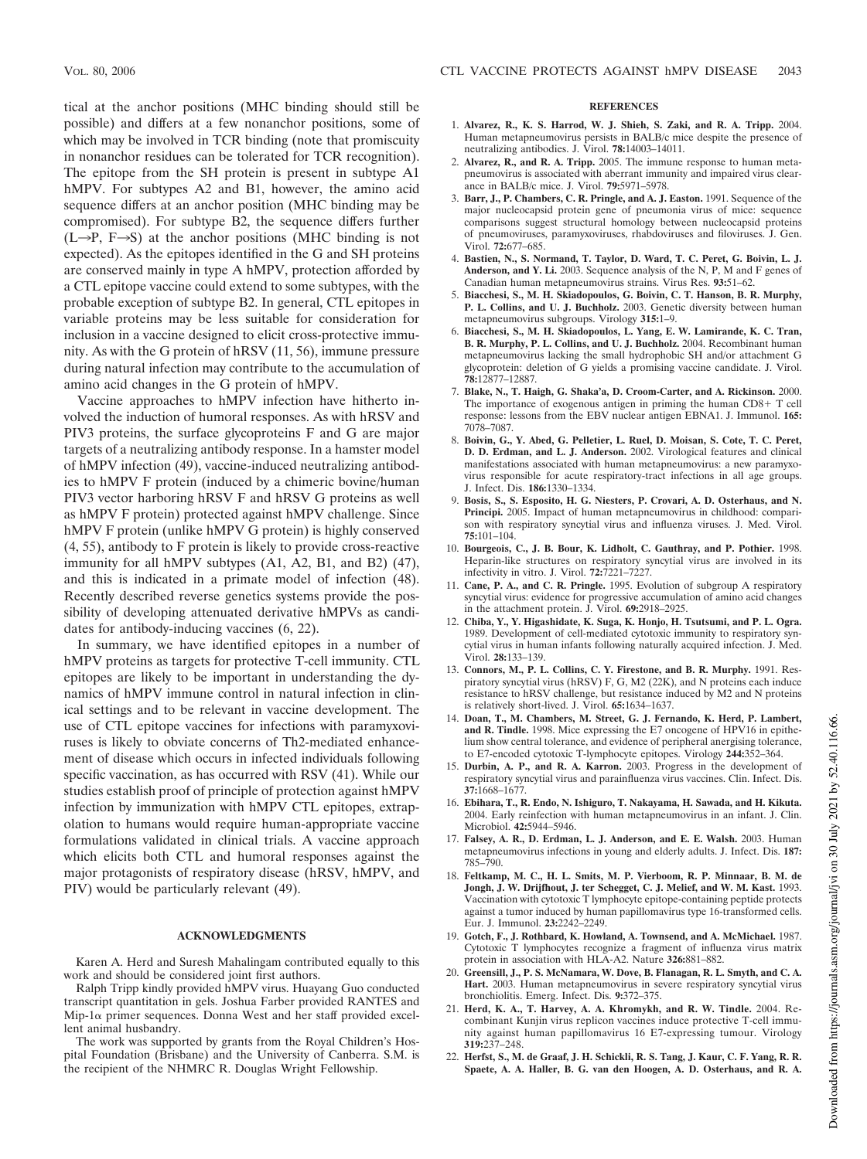tical at the anchor positions (MHC binding should still be possible) and differs at a few nonanchor positions, some of which may be involved in TCR binding (note that promiscuity in nonanchor residues can be tolerated for TCR recognition). The epitope from the SH protein is present in subtype A1 hMPV. For subtypes A2 and B1, however, the amino acid sequence differs at an anchor position (MHC binding may be compromised). For subtype B2, the sequence differs further  $(L\rightarrow P, F\rightarrow S)$  at the anchor positions (MHC binding is not expected). As the epitopes identified in the G and SH proteins are conserved mainly in type A hMPV, protection afforded by a CTL epitope vaccine could extend to some subtypes, with the probable exception of subtype B2. In general, CTL epitopes in variable proteins may be less suitable for consideration for inclusion in a vaccine designed to elicit cross-protective immunity. As with the G protein of hRSV (11, 56), immune pressure during natural infection may contribute to the accumulation of amino acid changes in the G protein of hMPV.

Vaccine approaches to hMPV infection have hitherto involved the induction of humoral responses. As with hRSV and PIV3 proteins, the surface glycoproteins F and G are major targets of a neutralizing antibody response. In a hamster model of hMPV infection (49), vaccine-induced neutralizing antibodies to hMPV F protein (induced by a chimeric bovine/human PIV3 vector harboring hRSV F and hRSV G proteins as well as hMPV F protein) protected against hMPV challenge. Since hMPV F protein (unlike hMPV G protein) is highly conserved (4, 55), antibody to F protein is likely to provide cross-reactive immunity for all hMPV subtypes (A1, A2, B1, and B2) (47), and this is indicated in a primate model of infection (48). Recently described reverse genetics systems provide the possibility of developing attenuated derivative hMPVs as candidates for antibody-inducing vaccines (6, 22).

In summary, we have identified epitopes in a number of hMPV proteins as targets for protective T-cell immunity. CTL epitopes are likely to be important in understanding the dynamics of hMPV immune control in natural infection in clinical settings and to be relevant in vaccine development. The use of CTL epitope vaccines for infections with paramyxoviruses is likely to obviate concerns of Th2-mediated enhancement of disease which occurs in infected individuals following specific vaccination, as has occurred with RSV (41). While our studies establish proof of principle of protection against hMPV infection by immunization with hMPV CTL epitopes, extrapolation to humans would require human-appropriate vaccine formulations validated in clinical trials. A vaccine approach which elicits both CTL and humoral responses against the major protagonists of respiratory disease (hRSV, hMPV, and PIV) would be particularly relevant (49).

#### **ACKNOWLEDGMENTS**

Karen A. Herd and Suresh Mahalingam contributed equally to this work and should be considered joint first authors.

Ralph Tripp kindly provided hMPV virus. Huayang Guo conducted transcript quantitation in gels. Joshua Farber provided RANTES and  $Mip-1\alpha$  primer sequences. Donna West and her staff provided excellent animal husbandry.

The work was supported by grants from the Royal Children's Hospital Foundation (Brisbane) and the University of Canberra. S.M. is the recipient of the NHMRC R. Douglas Wright Fellowship.

### **REFERENCES**

- 1. **Alvarez, R., K. S. Harrod, W. J. Shieh, S. Zaki, and R. A. Tripp.** 2004. Human metapneumovirus persists in BALB/c mice despite the presence of neutralizing antibodies. J. Virol. **78:**14003–14011.
- 2. **Alvarez, R., and R. A. Tripp.** 2005. The immune response to human metapneumovirus is associated with aberrant immunity and impaired virus clearance in BALB/c mice. J. Virol. **79:**5971–5978.
- 3. **Barr, J., P. Chambers, C. R. Pringle, and A. J. Easton.** 1991. Sequence of the major nucleocapsid protein gene of pneumonia virus of mice: sequence comparisons suggest structural homology between nucleocapsid proteins of pneumoviruses, paramyxoviruses, rhabdoviruses and filoviruses. J. Gen. Virol. **72:**677–685.
- 4. **Bastien, N., S. Normand, T. Taylor, D. Ward, T. C. Peret, G. Boivin, L. J. Anderson, and Y. Li.** 2003. Sequence analysis of the N, P, M and F genes of Canadian human metapneumovirus strains. Virus Res. **93:**51–62.
- 5. **Biacchesi, S., M. H. Skiadopoulos, G. Boivin, C. T. Hanson, B. R. Murphy, P. L. Collins, and U. J. Buchholz.** 2003. Genetic diversity between human metapneumovirus subgroups. Virology **315:**1–9.
- 6. **Biacchesi, S., M. H. Skiadopoulos, L. Yang, E. W. Lamirande, K. C. Tran, B. R. Murphy, P. L. Collins, and U. J. Buchholz.** 2004. Recombinant human metapneumovirus lacking the small hydrophobic SH and/or attachment G glycoprotein: deletion of G yields a promising vaccine candidate. J. Virol. **78:**12877–12887.
- 7. **Blake, N., T. Haigh, G. Shaka'a, D. Croom-Carter, and A. Rickinson.** 2000. The importance of exogenous antigen in priming the human  $CD8 + T$  cell response: lessons from the EBV nuclear antigen EBNA1. J. Immunol. **165:** 7078–7087.
- 8. **Boivin, G., Y. Abed, G. Pelletier, L. Ruel, D. Moisan, S. Cote, T. C. Peret, D. D. Erdman, and L. J. Anderson.** 2002. Virological features and clinical manifestations associated with human metapneumovirus: a new paramyxovirus responsible for acute respiratory-tract infections in all age groups. J. Infect. Dis. **186:**1330–1334.
- 9. **Bosis, S., S. Esposito, H. G. Niesters, P. Crovari, A. D. Osterhaus, and N. Principi.** 2005. Impact of human metapneumovirus in childhood: comparison with respiratory syncytial virus and influenza viruses. J. Med. Virol. **75:**101–104.
- 10. **Bourgeois, C., J. B. Bour, K. Lidholt, C. Gauthray, and P. Pothier.** 1998. Heparin-like structures on respiratory syncytial virus are involved in its infectivity in vitro. J. Virol. **72:**7221–7227.
- 11. **Cane, P. A., and C. R. Pringle.** 1995. Evolution of subgroup A respiratory syncytial virus: evidence for progressive accumulation of amino acid changes in the attachment protein. J. Virol. **69:**2918–2925.
- 12. **Chiba, Y., Y. Higashidate, K. Suga, K. Honjo, H. Tsutsumi, and P. L. Ogra.** 1989. Development of cell-mediated cytotoxic immunity to respiratory syncytial virus in human infants following naturally acquired infection. J. Med. Virol. **28:**133–139.
- 13. **Connors, M., P. L. Collins, C. Y. Firestone, and B. R. Murphy.** 1991. Respiratory syncytial virus (hRSV) F, G, M2 (22K), and N proteins each induce resistance to hRSV challenge, but resistance induced by M2 and N proteins is relatively short-lived. J. Virol. **65:**1634–1637.
- 14. **Doan, T., M. Chambers, M. Street, G. J. Fernando, K. Herd, P. Lambert, and R. Tindle.** 1998. Mice expressing the E7 oncogene of HPV16 in epithelium show central tolerance, and evidence of peripheral anergising tolerance, to E7-encoded cytotoxic T-lymphocyte epitopes. Virology **244:**352–364.
- 15. **Durbin, A. P., and R. A. Karron.** 2003. Progress in the development of respiratory syncytial virus and parainfluenza virus vaccines. Clin. Infect. Dis. **37:**1668–1677.
- 16. **Ebihara, T., R. Endo, N. Ishiguro, T. Nakayama, H. Sawada, and H. Kikuta.** 2004. Early reinfection with human metapneumovirus in an infant. J. Clin. Microbiol. **42:**5944–5946.
- 17. **Falsey, A. R., D. Erdman, L. J. Anderson, and E. E. Walsh.** 2003. Human metapneumovirus infections in young and elderly adults. J. Infect. Dis. **187:** 785–790.
- 18. **Feltkamp, M. C., H. L. Smits, M. P. Vierboom, R. P. Minnaar, B. M. de Jongh, J. W. Drijfhout, J. ter Schegget, C. J. Melief, and W. M. Kast.** 1993. Vaccination with cytotoxic T lymphocyte epitope-containing peptide protects against a tumor induced by human papillomavirus type 16-transformed cells. Eur. J. Immunol. **23:**2242–2249.
- 19. **Gotch, F., J. Rothbard, K. Howland, A. Townsend, and A. McMichael.** 1987. Cytotoxic T lymphocytes recognize a fragment of influenza virus matrix protein in association with HLA-A2. Nature **326:**881–882.
- 20. **Greensill, J., P. S. McNamara, W. Dove, B. Flanagan, R. L. Smyth, and C. A. Hart.** 2003. Human metapneumovirus in severe respiratory syncytial virus bronchiolitis. Emerg. Infect. Dis. **9:**372–375.
- 21. **Herd, K. A., T. Harvey, A. A. Khromykh, and R. W. Tindle.** 2004. Recombinant Kunjin virus replicon vaccines induce protective T-cell immunity against human papillomavirus 16 E7-expressing tumour. Virology **319:**237–248.
- 22. **Herfst, S., M. de Graaf, J. H. Schickli, R. S. Tang, J. Kaur, C. F. Yang, R. R. Spaete, A. A. Haller, B. G. van den Hoogen, A. D. Osterhaus, and R. A.**